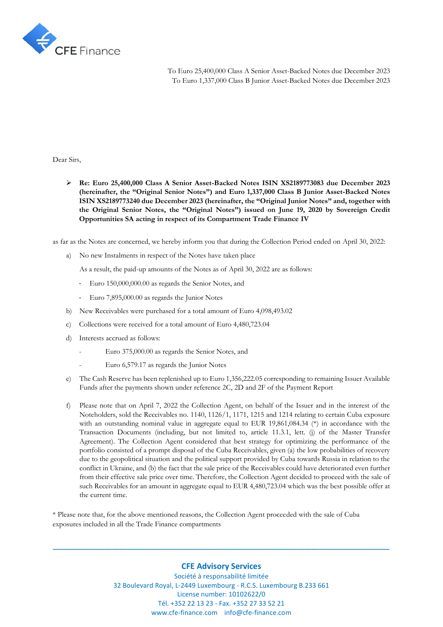

To Euro 25,400,000 Class A Senior Asset-Backed Notes due December 2023 To Euro 1,337,000 Class B Junior Asset-Backed Notes due December 2023

Dear Sirs,

➢ **Re: Euro 25,400,000 Class A Senior Asset-Backed Notes ISIN XS2189773083 due December 2023 (hereinafter, the "Original Senior Notes") and Euro 1,337,000 Class B Junior Asset-Backed Notes ISIN XS2189773240 due December 2023 (hereinafter, the "Original Junior Notes" and, together with the Original Senior Notes, the "Original Notes") issued on June 19, 2020 by Sovereign Credit Opportunities SA acting in respect of its Compartment Trade Finance IV**

as far as the Notes are concerned, we hereby inform you that during the Collection Period ended on April 30, 2022:

a) No new Instalments in respect of the Notes have taken place

As a result, the paid-up amounts of the Notes as of April 30, 2022 are as follows:

- Euro 150,000,000.00 as regards the Senior Notes, and
- Euro 7,895,000.00 as regards the Junior Notes
- b) New Receivables were purchased for a total amount of Euro 4,098,493.02
- c) Collections were received for a total amount of Euro 4,480,723.04
- d) Interests accrued as follows:
	- Euro 375,000.00 as regards the Senior Notes, and
		- Euro 6,579.17 as regards the Junior Notes
- e) The Cash Reserve has been replenished up to Euro 1,356,222.05 corresponding to remaining Issuer Available Funds after the payments shown under reference 2C, 2D and 2F of the Payment Report
- f) Please note that on April 7, 2022 the Collection Agent, on behalf of the Issuer and in the interest of the Noteholders, sold the Receivables no. 1140, 1126/1, 1171, 1215 and 1214 relating to certain Cuba exposure with an outstanding nominal value in aggregate equal to EUR 19,861,084.34  $(*)$  in accordance with the Transaction Documents (including, but not limited to, article 11.3.1, lett. (j) of the Master Transfer Agreement). The Collection Agent considered that best strategy for optimizing the performance of the portfolio consisted of a prompt disposal of the Cuba Receivables, given (a) the low probabilities of recovery due to the geopolitical situation and the political support provided by Cuba towards Russia in relation to the conflict in Ukraine, and (b) the fact that the sale price of the Receivables could have deteriorated even further from their effective sale price over time. Therefore, the Collection Agent decided to proceed with the sale of such Receivables for an amount in aggregate equal to EUR 4,480,723.04 which was the best possible offer at the current time.

\* Please note that, for the above mentioned reasons, the Collection Agent proceeded with the sale of Cuba exposures included in all the Trade Finance compartments

## **CFE Advisory Services**

**\_\_\_\_\_\_\_\_\_\_\_\_\_\_\_\_\_\_\_\_\_\_\_\_\_\_\_\_\_\_\_\_\_\_\_\_\_\_\_\_\_\_\_\_\_\_\_\_\_\_\_\_\_\_\_\_\_\_\_\_\_\_\_\_\_\_\_\_\_\_\_\_\_\_\_\_\_\_\_\_\_\_\_\_\_\_\_\_\_\_\_**

Société à responsabilité limitée 32 Boulevard Royal, L-2449 Luxembourg - R.C.S. Luxembourg B.233 661 License number: 10102622/0 Tél. +352 22 13 23 - Fax. +352 27 33 52 21 www.cfe-finance.com info@cfe-finance.com